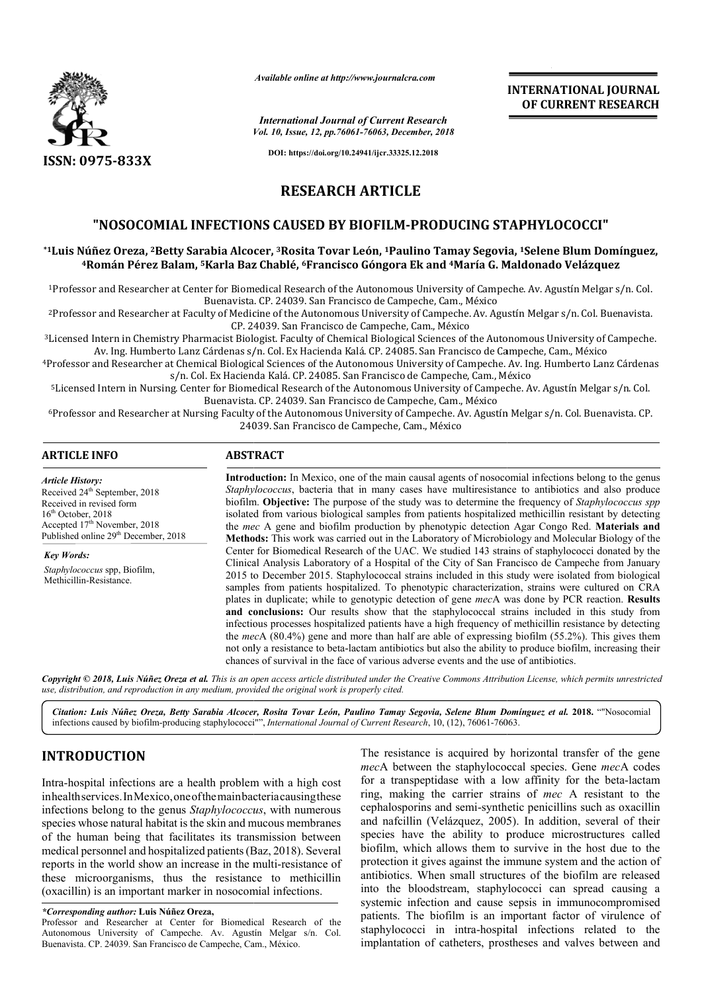

*Available online at http://www.journalcra.com*

*Vol. 10, Issue, 12, pp.76061-76063, December, 2018 International Journal of Current Research*

**INTERNATIONAL JOURNAL OF CURRENT RESEARCH**

**DOI: https://doi.org/10.24941/ijcr.33325.12.2018**

# **RESEARCH ARTICLE**

# **"NOSOCOMIAL INFECTIONS CAUSED BY BIOFILM BIOFILM-PRODUCING STAPHYLOCOCCI"**

**\*1Luis Núñez Oreza, 2Betty Sarabia Alcocer, Betty 3Rosita Tovar León, 1Paulino Tamay Segovia, PRODUCING Paulino 1Selene Blum Domínguez, 4Román Pérez Balam, 5Karla Baz Chablé, Karla 6Francisco Góngora Ek and 4María G. Maldonado Velázquez María** 

<sup>1</sup>Professor and Researcher at Center for Biomedical Research of the Autonomous University of Campeche. Av. Agustín Melgar s/n. Col. Buenavista. CP. 24039. San Francisco de Campeche, Cam., México

<sup>2</sup>Professor and Researcher at Faculty of Medicine of the Autonomous University of Campeche. Av. Agustín Melgar s/n. Col. Buenavista. CP. 24039. San Francisco de Campeche, Cam., México

<sup>3</sup>Licensed Intern in Chemistry Pharmacist Biologist. Faculty of Chemical Biological Sciences of the Autonomous University of Campeche. Licensed Intern in Chemistry Pharmacist Biologist. Faculty of Chemical Biological Sciences of the Autonomous University of<br>Av. Ing. Humberto Lanz Cárdenas s/n. Col. Ex Hacienda Kalá. CP. 24085. San Francisco de Campeche, C

4Professor and Researcher at Chemical Biological Sciences of the Autonomous University of Campeche. Professor Francisco de Campeche, Cam., México Professor and Av. Ing. Humberto Lanz Cárdenas s/n. Col. Ex Hacienda Kalá. CP. 24085. San Francisco de Campeche, Cam., México

5Licensed Intern in Nursing. Center for Biomedical Research of the Autonomous University of Campeche. ing. Francisco de Campeche, Cam., México Buenavista. CP. 24039. San Francisco de Campeche, Cam., México cisco de Campeche, Cam., México<br>omous University of Campeche. Av. Agustín Melgar s/n. Col.

<sup>6</sup>Professor and Researcher at Nursing Faculty of the Autonomous University of Campeche. Av. Agustín Melgar s/n. Col. Buenavista. CP. 24039. San Fran Francisco de Campeche, Cam., México

### **ARTICLE INFO ABSTRACT**

*Article History:* Received 24<sup>th</sup> September, 2018 Received in revised form  $16<sup>th</sup>$  October, 2018 Accepted 17<sup>th</sup> November, 2018 Published online 29<sup>th</sup> December, 2018

*Key Words: Staphylococcus* spp, Biofilm, Methicillin-Resistance.

**Introduction:**  In Mexico, one of the main causal agents of nosocomial infections belong to the genus *Staphylococcus* , bacteria that in many cases have multiresistance to antibiotics and also produce Introduction: In Mexico, one of the main causal agents of nosocomial infections belong to the genus *Staphylococcus*, bacteria that in many cases have multiresistance to antibiotics and also produce biofilm. **Objective:** T isolated from various biological samples from patients hospitalized methicillin resistant by detecting isolated from various biological samples from patients hospitalized methicillin resistant by detecting<br>the *mec* A gene and biofilm production by phenotypic detection Agar Congo Red. **Materials and Methods:**  This work was carried out in the Laboratory of Microbiology and Molecular Biology of the Center for Biomedical Research of the UAC. We studied 143 strains of staphylococci donated by the Clinical Analysis Laboratory of a Hospital of the City of San Francisco de Campeche from January 2015 to December 2015. Staphylococcal strains included in this study were isolated from biological samples from patients hospitalized. To phenotypic characterization, strains were cultured on CRA plates in duplicate; while to genotypic detection of gene mecA was done by PCR reaction. Results and conclusions: Our results show that the staphylococcal strains included in this study from infectious processes hospitalized patients have a high frequency of methicillin resistance by detecting the *mec* A (80.4%) gene and more than half are able of expressing biofilm (55.2%). This gives them not only a resistance to beta-lactam antibiotics but also the ability to produce biofilm, increasing their chances of survival in the face of various adverse events and the use o Methods: This work was carried out in the Laboratory of Microbiology and Molecular Biology of the Center for Biomedical Research of the UAC. We studied 143 strains of staphylococci donated by the Clinical Analysis Laborato and conclusions: Our results show that the staphylococcal strains included in this study from infectious processes hospitalized patients have a high frequency of methicillin resistance by detecting the *mec*A (80.4%) gene

Copyright © 2018, Luis Núñez Oreza et al. This is an open access article distributed under the Creative Commons Attribution License, which permits unrestrictea *use, distribution, and reproduction in any medium, provided the original work is properly cited.*

Citation: Luis Núñez Oreza, Betty Sarabia Alcocer, Rosita Tovar León, Paulino Tamay Segovia, Selene Blum Domínguez et al. 2018. ""Nosocomial infections caused by biofilm-producing staphylococci"", *International Journal of Current Research*, 10, (12), 76061-76063.

# **INTRODUCTION**

Intra-hospital infections are a health problem with a high cost Intra-hospital infections are a health problem with a high cost<br>inhealthservices.InMexico,oneofthemainbacteriacausingthese infections belong to the genus *Staphylococcus* , with numerous species whose natural habitat is the skin and mucous membranes of the human being that facilitates its transmission between medical personnel and hospitalized patients(Baz, (Baz, 2018). Several reports in the world show an increase in the multi-resistance of these microorganisms, thus the resistance to methicillin (oxacillin) is an important marker in nosocomial infections.

The resistance is acquired by horizontal transfer of the gene mecA between the staphylococcal species. Gene mecA codes for a transpeptidase with a low affinity for the beta-lactam ring, making the carrier strains of *mec* A resistant to the cephalosporins and semi-synthetic penicillins such as oxacillin and nafcillin (Velázquez, 2005). In addition, several of their species have the ability to produce microstructures called biofilm, which allows them to survive in the host due to the protection it gives against the immune system and the action of antibiotics. When small structures of the biofilm are released into the bloodstream, staphylococci can spread causing a systemic infection and cause sepsis in immunocompromised patients. The biofilm is an important factor of virulence of staphylococci in intra-hospital infections related to the implantation of catheters, prostheses and valves between and cephalosporins and semi-synthetic penicillins such as oxacillin<br>and nafcillin (Velázquez, 2005). In addition, several of their<br>species have the ability to produce microstructures called<br>biofilm, which allows them to surviv

*<sup>\*</sup>Corresponding author:* **Luis Núñez Oreza,**

Professor and Researcher at Center for Biomedical Research of the Autonomous University of Campeche. Av. Agustín Melgar s/n. Col. Buenavista. CP. 24039. San Francisco de Campeche, Cam., México México.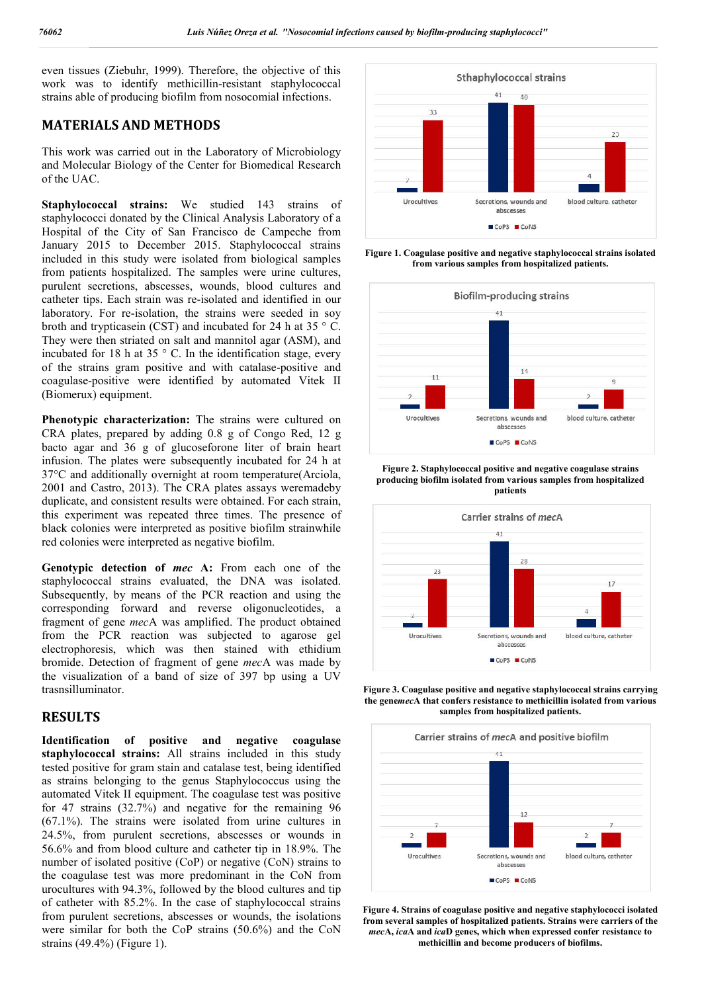even tissues (Ziebuhr, 1999). Therefore, the objective of this work was to identify methicillin-resistant staphylococcal work was to identify methicillin-resistant staphylococc<br>strains able of producing biofilm from nosocomial infections.

## **MATERIALS AND METHODS**

This work was carried out in the Laboratory of Microbiology and Molecular Biology of the Center for Biomedical Research of the UAC.

**Staphylococcal strains:** We studied 143 strains of staphylococci donated by the Clinical Analysis Laboratory of a Hospital of the City of San Francisco de Campeche from January 2015 to December 2015. Staphylococcal strains included in this study were isolated from biological samples from patients hospitalized. The samples were urine cultures, purulent secretions, abscesses, wounds, blood cultures and catheter tips. Each strain was re-isolated and identified in our laboratory. For re-isolation, the strains were seeded in soy broth and trypticasein (CST) and incubated for 24 h at 35 ° C. They were then striated on salt and mannitol agar (ASM), and incubated for 18 h at 35  $\degree$  C. In the identification stage, every catheter tips. Each strain was re-isolated and identified in our laboratory. For re-isolation, the strains were seeded in soy broth and trypticasein (CST) and incubated for 24 h at 35  $\degree$  C. They were then striated on sa coagulase-positive were identified by automated Vitek II (Biomerux) equipment.

**Phenotypic characterization:** The strains were cultured on CRA plates, prepared by adding 0.8 g of Congo Red, 12 g bacto agar and 36 g of glucoseforone liter of brain heart infusion. The plates were subsequently incubated for 24 h at 37°C and additionally overnight at room temperature(Arciola, 2001 and Castro, 2013). The CRA plates assays weremadeby duplicate, and consistent results were obtained. For each strain, this experiment was repeated three times. The presence of black colonies were interpreted as positive biofilm strainwhile red colonies were interpreted as negative biofilm. positive were identified by automated Vitek II<br>) equipment.<br>
ic characterization: The strains were cultured on<br>
s, prepared by adding 0.8 g of Congo Red, 12 g<br>
r and 36 g of glucoseforone liter of brain heart<br>
free plates

**Genotypic detection of** *mec* **A:** From each one of the staphylococcal strains evaluated, the DNA was isolated. Subsequently, by means of the PCR reaction and using the corresponding forward and reverse oligonucleotides, a fragment of gene *mec*A was amplified. The product obtained from the PCR reaction was subjected to agarose gel electrophoresis, which was then stained with ethidium bromide. Detection of fragment of gene *mec* the visualization of a band of size of 397 bp using a UV trasnsilluminator.

### **RESULTS**

**Identification of positive and negative c coagulase staphylococcal strains:** All strains included in this study tested positive for gram stain and catalase test, being identified as strains belonging to the genus Staphylococcus using the automated Vitek II equipment. The coagulase test was positive for 47 strains (32.7%) and negative for the remaining 96 (67.1%). The strains were isolated from urine cultures in 24.5%, from purulent secretions, abscesses or wounds in 56.6% and from blood culture and catheter tip in 18.9%. The number of isolated positive (CoP) or negative (CoN) strains to the coagulase test was more predominant in the CoN from urocultures with 94.3%, followed by the blood cultures and tip of catheter with 85.2%. In the case of staphylococcal strains from purulent secretions, abscesses or wounds, the isolations were similar for both the CoP strains (50.6%) and the CoN strains (49.4%) (Figure 1).



**from various samples from hospitalized patients.**



**Figure 2. Staphylococcal positive and negative coagulase strains producing biofilm isolated from various samples from hospitalize patients**



**Figure 3. Coagulase positive and negative staphylococcal strains carrying**  Figure 3. Coagulase positive and negative staphylococcal strains carrying<br>the gene*mec*A that confers resistance to methicillin isolated from various **samples from hospitalized patients.**



**Figure 4. Strains of coagulase positive and negative staphylococci isolated from several samples of hospitalized patients. Strains were carriers of the**  *mec***A,** *ica***A and** *ica***D genes, which when expressed confer resistance to methicillin and become producers of biofilms.**